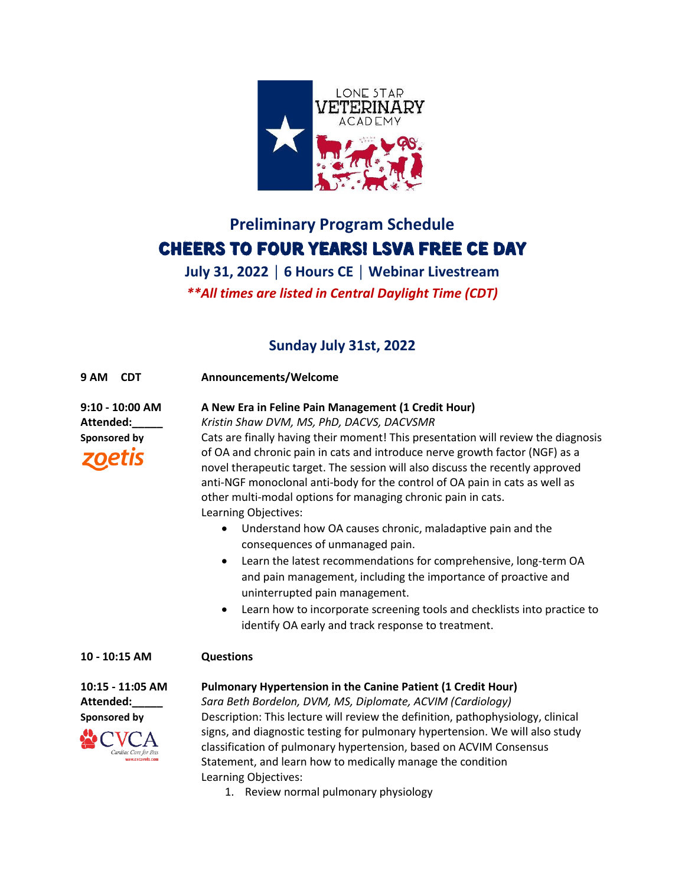

# **Preliminary Program Schedule** Cheers to four years! LSVA free ce day

**July 31, 2022 │ 6 Hours CE │ Webinar Livestream** *\*\*All times are listed in Central Daylight Time (CDT)*

## **Sunday July 31st, 2022**

#### **9 AM CDT Announcements/Welcome**

**9:10 - 10:00 AM A New Era in Feline Pain Management (1 Credit Hour) Attended:\_\_\_\_\_** *Kristin Shaw DVM, MS, PhD, DACVS, DACVSMR* **Sponsored by** Cats are finally having their moment! This presentation will review the diagnosis of OA and chronic pain in cats and introduce nerve growth factor (NGF) as a novel therapeutic target. The session will also discuss the recently approved anti-NGF monoclonal anti-body for the control of OA pain in cats as well as other multi-modal options for managing chronic pain in cats. Learning Objectives:

- Understand how OA causes chronic, maladaptive pain and the consequences of unmanaged pain.
- Learn the latest recommendations for comprehensive, long-term OA and pain management, including the importance of proactive and uninterrupted pain management.
- Learn how to incorporate screening tools and checklists into practice to identify OA early and track response to treatment.

#### **10 - 10:15 AM Questions**



### **10:15 - 11:05 AM Pulmonary Hypertension in the Canine Patient (1 Credit Hour)**

**Attended:\_\_\_\_\_** *Sara Beth Bordelon, DVM, MS, Diplomate, ACVIM (Cardiology)* **Sponsored by** Description: This lecture will review the definition, pathophysiology, clinical signs, and diagnostic testing for pulmonary hypertension. We will also study classification of pulmonary hypertension, based on ACVIM Consensus Statement, and learn how to medically manage the condition Learning Objectives:

1. Review normal pulmonary physiology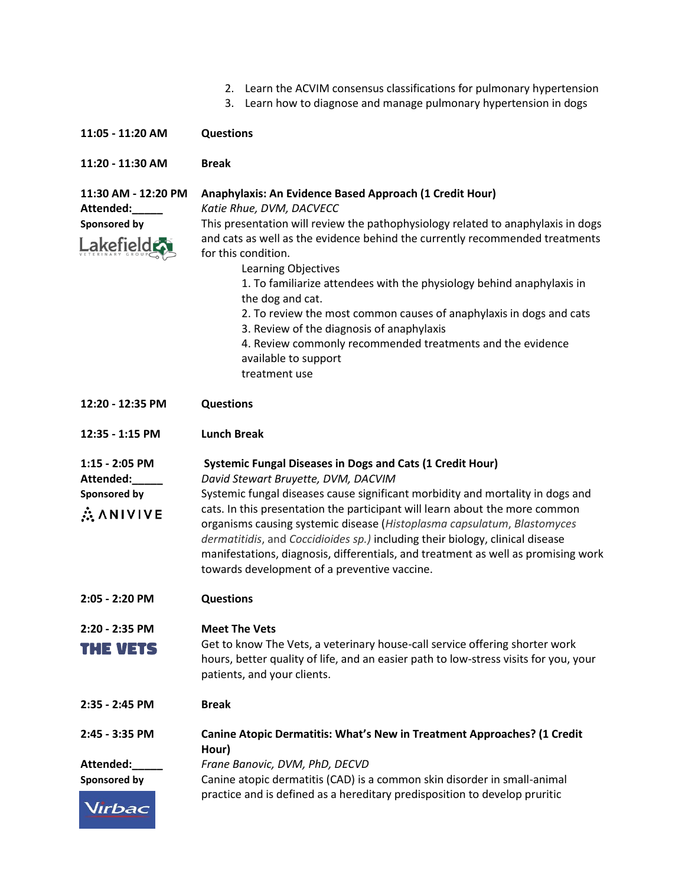- 2. Learn the ACVIM consensus classifications for pulmonary hypertension
- 3. Learn how to diagnose and manage pulmonary hypertension in dogs

| 11:05 - 11:20 AM                                                      | <b>Questions</b>                                                                                                                                                                                                                                                                                                                                                                                                                                                                                                                                                                                                              |
|-----------------------------------------------------------------------|-------------------------------------------------------------------------------------------------------------------------------------------------------------------------------------------------------------------------------------------------------------------------------------------------------------------------------------------------------------------------------------------------------------------------------------------------------------------------------------------------------------------------------------------------------------------------------------------------------------------------------|
| 11:20 - 11:30 AM                                                      | <b>Break</b>                                                                                                                                                                                                                                                                                                                                                                                                                                                                                                                                                                                                                  |
| 11:30 AM - 12:20 PM<br>Attended:<br>Sponsored by<br>Lakefield         | Anaphylaxis: An Evidence Based Approach (1 Credit Hour)<br>Katie Rhue, DVM, DACVECC<br>This presentation will review the pathophysiology related to anaphylaxis in dogs<br>and cats as well as the evidence behind the currently recommended treatments<br>for this condition.<br>Learning Objectives<br>1. To familiarize attendees with the physiology behind anaphylaxis in<br>the dog and cat.<br>2. To review the most common causes of anaphylaxis in dogs and cats<br>3. Review of the diagnosis of anaphylaxis<br>4. Review commonly recommended treatments and the evidence<br>available to support<br>treatment use |
| 12:20 - 12:35 PM                                                      | <b>Questions</b>                                                                                                                                                                                                                                                                                                                                                                                                                                                                                                                                                                                                              |
| 12:35 - 1:15 PM                                                       | <b>Lunch Break</b>                                                                                                                                                                                                                                                                                                                                                                                                                                                                                                                                                                                                            |
| $1:15 - 2:05$ PM<br>Attended:<br>Sponsored by<br>$\mathbb{R}$ ANIVIVE | <b>Systemic Fungal Diseases in Dogs and Cats (1 Credit Hour)</b><br>David Stewart Bruyette, DVM, DACVIM<br>Systemic fungal diseases cause significant morbidity and mortality in dogs and<br>cats. In this presentation the participant will learn about the more common<br>organisms causing systemic disease (Histoplasma capsulatum, Blastomyces<br>dermatitidis, and Coccidioides sp.) including their biology, clinical disease<br>manifestations, diagnosis, differentials, and treatment as well as promising work<br>towards development of a preventive vaccine.                                                     |
| 2:05 - 2:20 PM                                                        | <b>Questions</b>                                                                                                                                                                                                                                                                                                                                                                                                                                                                                                                                                                                                              |
| 2:20 - 2:35 PM<br>THE VETS                                            | <b>Meet The Vets</b><br>Get to know The Vets, a veterinary house-call service offering shorter work<br>hours, better quality of life, and an easier path to low-stress visits for you, your<br>patients, and your clients.                                                                                                                                                                                                                                                                                                                                                                                                    |
| 2:35 - 2:45 PM                                                        | <b>Break</b>                                                                                                                                                                                                                                                                                                                                                                                                                                                                                                                                                                                                                  |
| 2:45 - 3:35 PM<br>Attended:<br>Sponsored by<br><i><b>Nirbac</b></i>   | Canine Atopic Dermatitis: What's New in Treatment Approaches? (1 Credit<br>Hour)<br>Frane Banovic, DVM, PhD, DECVD<br>Canine atopic dermatitis (CAD) is a common skin disorder in small-animal<br>practice and is defined as a hereditary predisposition to develop pruritic                                                                                                                                                                                                                                                                                                                                                  |